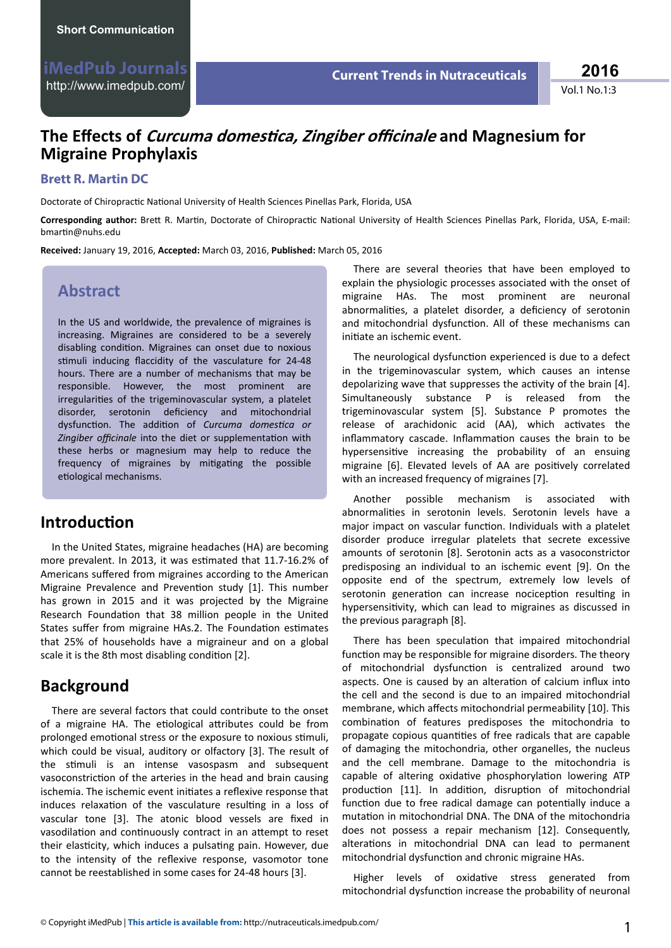Vol.1 No.1:3 **2016**

# **The Effects of** *Curcuma domestica, Zingiber officinale* **and Magnesium for Migraine Prophylaxis**

#### **Brett R. Martin DC**

Doctorate of Chiropractic National University of Health Sciences Pinellas Park, Florida, USA

Corresponding author: Brett R. Martin, Doctorate of Chiropractic National University of Health Sciences Pinellas Park, Florida, USA, E-mail: bmartin@nubs edu

**Received:** January 19, 2016, **Accepted:** March 03, 2016, **Published:** March 05, 2016

## **Abstract**

In the US and worldwide, the prevalence of migraines is increasing. Migraines are considered to be a severely disabling condition. Migraines can onset due to noxious stimuli inducing flaccidity of the vasculature for 24-48 hours. There are a number of mechanisms that may be responsible. However, the most prominent are irregularities of the trigeminovascular system, a platelet disorder, serotonin deficiency and mitochondrial dysfunction. The addition of *Curcuma domestica or Zingiber officinale* into the diet or supplementation with these herbs or magnesium may help to reduce the frequency of migraines by mitigating the possible etiological mechanisms.

## **Introduction**

In the United States, migraine headaches (HA) are becoming more prevalent. In 2013, it was estimated that 11.7-16.2% of Americans suffered from migraines according to the American Migraine Prevalence and Prevention study [1]. This number has grown in 2015 and it was projected by the Migraine Research Foundation that 38 million people in the United States suffer from migraine HAs.2. The Foundation estimates that 25% of households have a migraineur and on a global scale it is the 8th most disabling condition  $[2]$ .

## **Background**

There are several factors that could contribute to the onset of a migraine HA. The etiological attributes could be from prolonged emotional stress or the exposure to noxious stimuli, which could be visual, auditory or olfactory [3]. The result of the stimuli is an intense vasospasm and subsequent vasoconstriction of the arteries in the head and brain causing ischemia. The ischemic event initiates a reflexive response that induces relaxation of the vasculature resulting in a loss of vascular tone [3]. The atonic blood vessels are fixed in vasodilation and continuously contract in an attempt to reset their elasticity, which induces a pulsating pain. However, due to the intensity of the reflexive response, vasomotor tone cannot be reestablished in some cases for 24-48 hours [3].

There are several theories that have been employed to explain the physiologic processes associated with the onset of migraine HAs. The most prominent are neuronal abnormalities, a platelet disorder, a deficiency of serotonin and mitochondrial dysfunction. All of these mechanisms can initiate an ischemic event.

The neurological dysfunction experienced is due to a defect in the trigeminovascular system, which causes an intense depolarizing wave that suppresses the activity of the brain [4]. Simultaneously substance P is released from the trigeminovascular system [5]. Substance P promotes the release of arachidonic acid (AA), which activates the inflammatory cascade. Inflammation causes the brain to be hypersensitive increasing the probability of an ensuing migraine [6]. Elevated levels of AA are positively correlated with an increased frequency of migraines [7].

Another possible mechanism is associated with abnormalities in serotonin levels. Serotonin levels have a major impact on vascular function. Individuals with a platelet disorder produce irregular platelets that secrete excessive amounts of serotonin [8]. Serotonin acts as a vasoconstrictor predisposing an individual to an ischemic event [9]. On the opposite end of the spectrum, extremely low levels of serotonin generation can increase nociception resulting in hypersensitivity, which can lead to migraines as discussed in the previous paragraph [8].

There has been speculation that impaired mitochondrial function may be responsible for migraine disorders. The theory of mitochondrial dysfunction is centralized around two aspects. One is caused by an alteration of calcium influx into the cell and the second is due to an impaired mitochondrial membrane, which affects mitochondrial permeability [10]. This combination of features predisposes the mitochondria to propagate copious quantities of free radicals that are capable of damaging the mitochondria, other organelles, the nucleus and the cell membrane. Damage to the mitochondria is capable of altering oxidative phosphorylation lowering ATP production [11]. In addition, disruption of mitochondrial function due to free radical damage can potentially induce a mutation in mitochondrial DNA. The DNA of the mitochondria does not possess a repair mechanism [12]. Consequently, alterations in mitochondrial DNA can lead to permanent mitochondrial dysfunction and chronic migraine HAs.

Higher levels of oxidative stress generated from mitochondrial dysfunction increase the probability of neuronal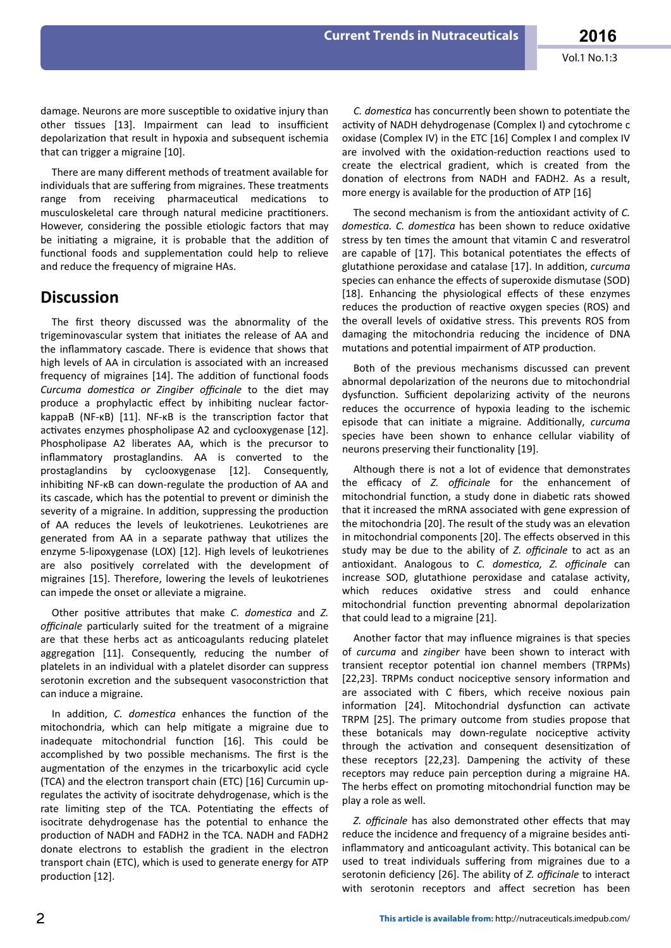damage. Neurons are more susceptible to oxidative injury than other tissues [13]. Impairment can lead to insufficient depolarization that result in hypoxia and subsequent ischemia that can trigger a migraine [10].

There are many different methods of treatment available for individuals that are suffering from migraines. These treatments range from receiving pharmaceutical medications to musculoskeletal care through natural medicine practitioners. However, considering the possible etiologic factors that may be initiating a migraine, it is probable that the addition of functional foods and supplementation could help to relieve and reduce the frequency of migraine HAs.

#### **Discussion**

The first theory discussed was the abnormality of the trigeminovascular system that initiates the release of AA and the inflammatory cascade. There is evidence that shows that high levels of AA in circulation is associated with an increased frequency of migraines [14]. The addition of functional foods *Curcuma domestica or Zingiber officinale to the diet may* produce a prophylactic effect by inhibiting nuclear factorkappaB ( $NF-KB$ ) [11]. NF- $KB$  is the transcription factor that activates enzymes phospholipase A2 and cyclooxygenase [12]. Phospholipase A2 liberates AA, which is the precursor to inflammatory prostaglandins. AA is converted to the prostaglandins by cyclooxygenase [12]. Consequently, inhibiting NF-KB can down-regulate the production of AA and its cascade, which has the potential to prevent or diminish the severity of a migraine. In addition, suppressing the production of AA reduces the levels of leukotrienes. Leukotrienes are generated from AA in a separate pathway that utilizes the enzyme 5-lipoxygenase (LOX) [12]. High levels of leukotrienes are also positively correlated with the development of migraines [15]. Therefore, lowering the levels of leukotrienes can impede the onset or alleviate a migraine.

Other positive attributes that make *C. domestica* and *Z. officinale* particularly suited for the treatment of a migraine are that these herbs act as anticoagulants reducing platelet aggregation [11]. Consequently, reducing the number of platelets in an individual with a platelet disorder can suppress serotonin excretion and the subsequent vasoconstriction that can induce a migraine.

In addition, *C. domestica* enhances the function of the mitochondria, which can help mitigate a migraine due to inadequate mitochondrial function [16]. This could be accomplished by two possible mechanisms. The first is the augmentation of the enzymes in the tricarboxylic acid cycle (TCA) and the electron transport chain (ETC) [16] Curcumin upregulates the activity of isocitrate dehydrogenase, which is the rate limiting step of the TCA. Potentiating the effects of isocitrate dehydrogenase has the potential to enhance the production of NADH and FADH2 in the TCA. NADH and FADH2 donate electrons to establish the gradient in the electron transport chain (ETC), which is used to generate energy for ATP production [12].

*C. domestica* has concurrently been shown to potentiate the activity of NADH dehydrogenase (Complex I) and cytochrome c oxidase (Complex IV) in the ETC [16] Complex I and complex IV are involved with the oxidation-reduction reactions used to create the electrical gradient, which is created from the donation of electrons from NADH and FADH2. As a result, more energy is available for the production of ATP [16]

The second mechanism is from the antioxidant activity of *C*. *domestica. C. domestica has been shown to reduce oxidative* stress by ten times the amount that vitamin C and resveratrol are capable of [17]. This botanical potentiates the effects of glutathione peroxidase and catalase [17]. In addition, *curcuma* species can enhance the effects of superoxide dismutase (SOD) [18]. Enhancing the physiological effects of these enzymes reduces the production of reactive oxygen species (ROS) and the overall levels of oxidative stress. This prevents ROS from damaging the mitochondria reducing the incidence of DNA mutations and potential impairment of ATP production.

Both of the previous mechanisms discussed can prevent abnormal depolarization of the neurons due to mitochondrial dysfunction. Sufficient depolarizing activity of the neurons reduces the occurrence of hypoxia leading to the ischemic episode that can initiate a migraine. Additionally, *curcuma* species have been shown to enhance cellular viability of neurons preserving their functionality [19].

Although there is not a lot of evidence that demonstrates the efficacy of *Z. officinale* for the enhancement of mitochondrial function, a study done in diabetic rats showed that it increased the mRNA associated with gene expression of the mitochondria [20]. The result of the study was an elevation in mitochondrial components [20]. The effects observed in this study may be due to the ability of *Z. officinale* to act as an antioxidant. Analogous to *C. domestica, Z. officinale* can increase SOD, glutathione peroxidase and catalase activity, which reduces oxidative stress and could enhance mitochondrial function preventing abnormal depolarization that could lead to a migraine [21].

Another factor that may influence migraines is that species of *curcuma* and *zingiber* have been shown to interact with transient receptor potential ion channel members (TRPMs) [22,23]. TRPMs conduct nociceptive sensory information and are associated with C fibers, which receive noxious pain information [24]. Mitochondrial dysfunction can activate TRPM [25]. The primary outcome from studies propose that these botanicals may down-regulate nociceptive activity through the activation and consequent desensitization of these receptors [22,23]. Dampening the activity of these receptors may reduce pain perception during a migraine HA. The herbs effect on promoting mitochondrial function may be play a role as well.

*Z. officinale* has also demonstrated other effects that may reduce the incidence and frequency of a migraine besides antiinflammatory and anticoagulant activity. This botanical can be used to treat individuals suffering from migraines due to a serotonin deficiency [26]. The ability of *Z. officinale* to interact with serotonin receptors and affect secretion has been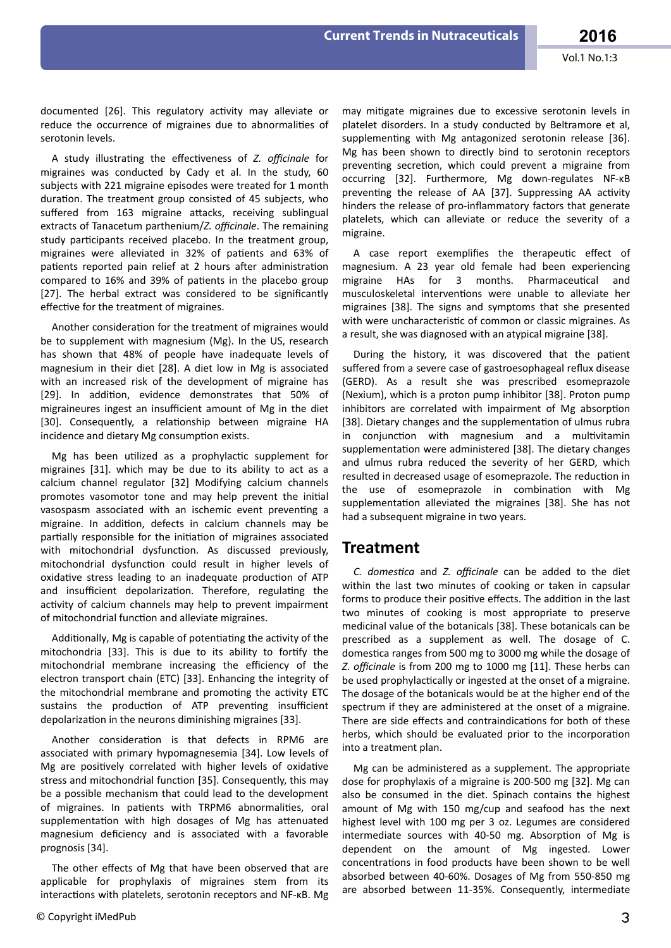documented [26]. This regulatory activity may alleviate or reduce the occurrence of migraines due to abnormalities of serotonin levels.

A study illustrating the effectiveness of *Z. officinale* for migraines was conducted by Cady et al. In the study, 60 subjects with 221 migraine episodes were treated for 1 month duration. The treatment group consisted of 45 subjects, who suffered from 163 migraine attacks, receiving sublingual extracts of Tanacetum parthenium/*Z. officinale*. The remaining study participants received placebo. In the treatment group, migraines were alleviated in 32% of patients and 63% of patients reported pain relief at 2 hours after administration compared to 16% and 39% of patients in the placebo group [27]. The herbal extract was considered to be significantly effective for the treatment of migraines.

Another consideration for the treatment of migraines would be to supplement with magnesium (Mg). In the US, research has shown that 48% of people have inadequate levels of magnesium in their diet [28]. A diet low in Mg is associated with an increased risk of the development of migraine has [29]. In addition, evidence demonstrates that 50% of migraineures ingest an insufficient amount of Mg in the diet [30]. Consequently, a relationship between migraine HA incidence and dietary Mg consumption exists.

Mg has been utilized as a prophylactic supplement for migraines [31]. which may be due to its ability to act as a calcium channel regulator [32] Modifying calcium channels promotes vasomotor tone and may help prevent the initial vasospasm associated with an ischemic event preventing a migraine. In addition, defects in calcium channels may be partially responsible for the initiation of migraines associated with mitochondrial dysfunction. As discussed previously, mitochondrial dysfunction could result in higher levels of oxidative stress leading to an inadequate production of ATP and insufficient depolarization. Therefore, regulating the activity of calcium channels may help to prevent impairment of mitochondrial function and alleviate migraines.

Additionally. Mg is capable of potentiating the activity of the mitochondria [33]. This is due to its ability to fortify the mitochondrial membrane increasing the efficiency of the electron transport chain (ETC) [33]. Enhancing the integrity of the mitochondrial membrane and promoting the activity ETC sustains the production of ATP preventing insufficient depolarization in the neurons diminishing migraines [33].

Another consideration is that defects in RPM6 are associated with primary hypomagnesemia [34]. Low levels of Mg are positively correlated with higher levels of oxidative stress and mitochondrial function [35]. Consequently, this may be a possible mechanism that could lead to the development of migraines. In patients with TRPM6 abnormalities, oral supplementation with high dosages of Mg has attenuated magnesium deficiency and is associated with a favorable prognosis [34].

The other effects of Mg that have been observed that are applicable for prophylaxis of migraines stem from its interactions with platelets, serotonin receptors and NF-κB. Mg may mitigate migraines due to excessive serotonin levels in platelet disorders. In a study conducted by Beltramore et al, supplementing with Mg antagonized serotonin release [36]. Mg has been shown to directly bind to serotonin receptors preventing secretion, which could prevent a migraine from occurring [32]. Furthermore, Mg down-regulates NF-κB preventing the release of AA [37]. Suppressing AA activity hinders the release of pro-inflammatory factors that generate platelets, which can alleviate or reduce the severity of a migraine.

A case report exemplifies the therapeutic effect of magnesium. A 23 year old female had been experiencing migraine HAs for 3 months. Pharmaceutical and musculoskeletal interventions were unable to alleviate her migraines [38]. The signs and symptoms that she presented with were uncharacteristic of common or classic migraines. As a result, she was diagnosed with an atypical migraine [38].

During the history, it was discovered that the patient suffered from a severe case of gastroesophageal reflux disease (GERD). As a result she was prescribed esomeprazole (Nexium), which is a proton pump inhibitor [38]. Proton pump inhibitors are correlated with impairment of Mg absorption [38]. Dietary changes and the supplementation of ulmus rubra in conjunction with magnesium and a multivitamin supplementation were administered [38]. The dietary changes and ulmus rubra reduced the severity of her GERD, which resulted in decreased usage of esomeprazole. The reduction in the use of esomeprazole in combination with Mg supplementation alleviated the migraines [38]. She has not had a subsequent migraine in two years.

#### **Treatment**

*C. domestica and Z. officinale can be added to the diet* within the last two minutes of cooking or taken in capsular forms to produce their positive effects. The addition in the last two minutes of cooking is most appropriate to preserve medicinal value of the botanicals [38]. These botanicals can be prescribed as a supplement as well. The dosage of C. domestica ranges from 500 mg to 3000 mg while the dosage of *Z. officinale* is from 200 mg to 1000 mg [11]. These herbs can be used prophylactically or ingested at the onset of a migraine. The dosage of the botanicals would be at the higher end of the spectrum if they are administered at the onset of a migraine. There are side effects and contraindications for both of these herbs, which should be evaluated prior to the incorporation into a treatment plan.

Mg can be administered as a supplement. The appropriate dose for prophylaxis of a migraine is 200-500 mg [32]. Mg can also be consumed in the diet. Spinach contains the highest amount of Mg with 150 mg/cup and seafood has the next highest level with 100 mg per 3 oz. Legumes are considered intermediate sources with 40-50 mg. Absorption of Mg is dependent on the amount of Mg ingested. Lower concentrations in food products have been shown to be well absorbed between 40-60%. Dosages of Mg from 550-850 mg are absorbed between 11-35%. Consequently, intermediate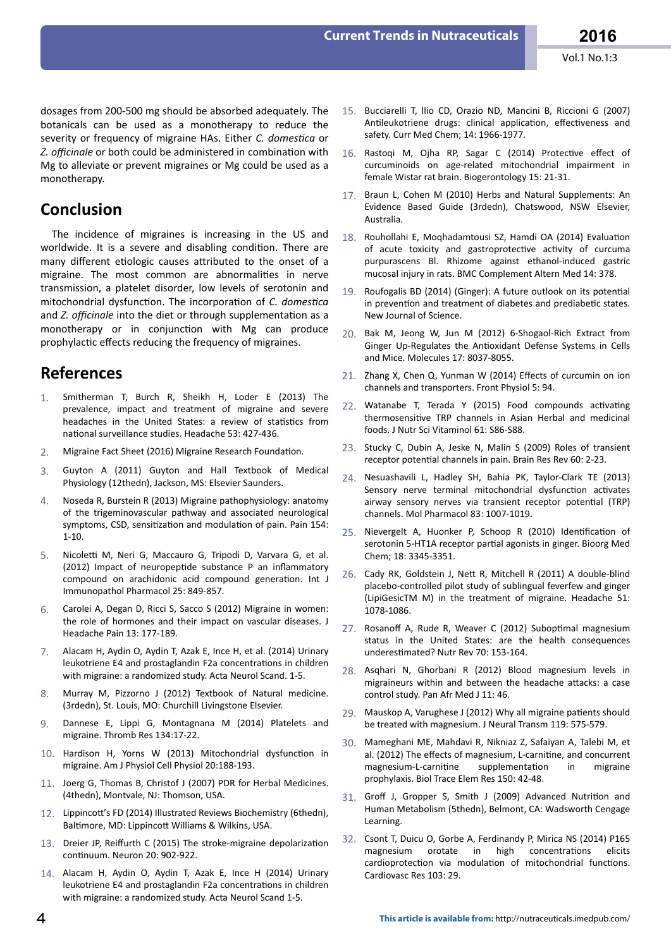dosages from 200-500 mg should be absorbed adequately. The botanicals can be used as a monotherapy to reduce the severity or frequency of migraine HAs. Either *C. domestica* or *Z. officinale* or both could be administered in combination with Mg to alleviate or prevent migraines or Mg could be used as a monotherapy.

## **Conclusion**

The incidence of migraines is increasing in the US and worldwide. It is a severe and disabling condition. There are many different etiologic causes attributed to the onset of a migraine. The most common are abnormalities in nerve transmission, a platelet disorder, low levels of serotonin and mitochondrial dysfunction. The incorporation of *C. domestica* and *Z. officinale* into the diet or through supplementation as a monotherapy or in conjunction with Mg can produce prophylactic effects reducing the frequency of migraines.

#### **References**

- Smitherman T, Burch R, Sheikh H, Loder E (2013) The prevalence, impact and treatment of migraine and severe headaches in the United States: a review of statistics from national surveillance studies. Headache 53: 427-436.
- 2. Migraine Fact Sheet (2016) Migraine Research Foundation.
- 3. Guyton A (2011) Guyton and Hall Textbook of Medical Physiology (12thedn), Jackson, MS: Elsevier Saunders.
- 4. Noseda R, Burstein R (2013) Migraine pathophysiology: anatomy of the trigeminovascular pathway and associated neurological symptoms, CSD, sensitization and modulation of pain. Pain 154: 1-10.
- 5. Nicoletti M, Neri G, Maccauro G, Tripodi D, Varvara G, et al. (2012) Impact of neuropeptide substance P an inflammatory compound on arachidonic acid compound generation. Int J Immunopathol Pharmacol 25: 849-857.
- 6. Carolei A, Degan D, Ricci S, Sacco S (2012) Migraine in women: the role of hormones and their impact on vascular diseases. J Headache Pain 13: 177-189.
- 7. Alacam H, Aydin O, Aydin T, Azak E, Ince H, et al. (2014) Urinary leukotriene E4 and prostaglandin F2a concentrations in children with migraine: a randomized study. Acta Neurol Scand. 1-5.
- 8. Murray M, Pizzorno J (2012) Textbook of Natural medicine. (3rdedn), St. Louis, MO: Churchill Livingstone Elsevier.
- 9. Dannese E, Lippi G, Montagnana M (2014) Platelets and migraine. Thromb Res 134:17-22.
- 10. Hardison H, Yorns W (2013) Mitochondrial dysfunction in migraine. Am J Physiol Cell Physiol 20:188-193.
- 11. Joerg G, Thomas B, Christof J (2007) PDR for Herbal Medicines. (4thedn), Montvale, NJ: Thomson, USA.
- 12. Lippincott's FD (2014) Illustrated Reviews Biochemistry (6thedn), Baltimore, MD: Lippincott Williams & Wilkins, USA.
- 13. Dreier JP, Reiffurth C (2015) The stroke-migraine depolarization continuum. Neuron 20: 902-922.
- 14. Alacam H, Aydin O, Aydin T, Azak E, Ince H (2014) Urinary leukotriene E4 and prostaglandin F2a concentrations in children with migraine: a randomized study. Acta Neurol Scand 1-5.
- 15. Bucciarelli T, llio CD, Orazio ND, Mancini B, Riccioni G (2007) Antileukotriene drugs: clinical application, effectiveness and safety. Curr Med Chem; 14: 1966-1977.
- 16. Rastoqi M, Ojha RP, Sagar C (2014) Protective effect of curcuminoids on age-related mitochondrial impairment in female Wistar rat brain. Biogerontology 15: 21-31.
- 17. Braun L, Cohen M (2010) Herbs and Natural Supplements: An Evidence Based Guide (3rdedn), Chatswood, NSW Elsevier, Australia.
- 18. Rouhollahi E, Moqhadamtousi SZ, Hamdi OA (2014) Evaluation of acute toxicity and gastroprotective activity of curcuma purpurascens Bl. Rhizome against ethanol-induced gastric mucosal injury in rats. BMC Complement Altern Med 14: 378.
- 19. Roufogalis BD (2014) (Ginger): A future outlook on its potential in prevention and treatment of diabetes and prediabetic states. New Journal of Science.
- 20. Bak M, Jeong W, Jun M (2012) 6-Shogaol-Rich Extract from Ginger Up-Regulates the Antioxidant Defense Systems in Cells and Mice. Molecules 17: 8037-8055.
- 21. Zhang X, Chen Q, Yunman W (2014) Effects of curcumin on ion channels and transporters. Front Physiol 5: 94.
- 22. Watanabe T, Terada Y (2015) Food compounds activating thermosensitive TRP channels in Asian Herbal and medicinal foods. J Nutr Sci Vitaminol 61: S86-S88.
- 23. Stucky C, Dubin A, Jeske N, Malin S (2009) Roles of transient receptor potential channels in pain. Brain Res Rev 60: 2-23.
- 24. Nesuashavili L, Hadley SH, Bahia PK, Taylor-Clark TE (2013) Sensory nerve terminal mitochondrial dysfunction activates airway sensory nerves via transient receptor potential (TRP) channels. Mol Pharmacol 83: 1007-1019.
- 25. Nievergelt A, Huonker P, Schoop R (2010) Identification of serotonin 5-HT1A receptor partial agonists in ginger. Bioorg Med Chem; 18: 3345-3351.
- 26. Cady RK, Goldstein J, Nett R, Mitchell R (2011) A double-blind placebo-controlled pilot study of sublingual feverfew and ginger (LipiGesicTM M) in the treatment of migraine. Headache 51: 1078-1086.
- 27. Rosanoff A, Rude R, Weaver C (2012) Suboptimal magnesium status in the United States: are the health consequences underestimated? Nutr Rev 70: 153-164.
- 28. Asqhari N, Ghorbani R (2012) Blood magnesium levels in migraineurs within and between the headache attacks: a case control study. Pan Afr Med J 11: 46.
- 29. Mauskop A, Varughese J (2012) Why all migraine patients should be treated with magnesium. J Neural Transm 119: 575-579.
- 30. Mameghani ME, Mahdavi R, Nikniaz Z, Safaiyan A, Talebi M, et al. (2012) The effects of magnesium, L-carnitine, and concurrent magnesium-L-carnitine supplementation in migraine prophylaxis. Biol Trace Elem Res 150: 42-48.
- 31. Groff J, Gropper S, Smith J (2009) Advanced Nutrition and Human Metabolism (5thedn), Belmont, CA: Wadsworth Cengage Learning.
- 32. Csont T, Duicu O, Gorbe A, Ferdinandy P, Mirica NS (2014) P165 magnesium orotate in high concentrations elicits cardioprotection via modulation of mitochondrial functions. Cardiovasc Res 103: 29.